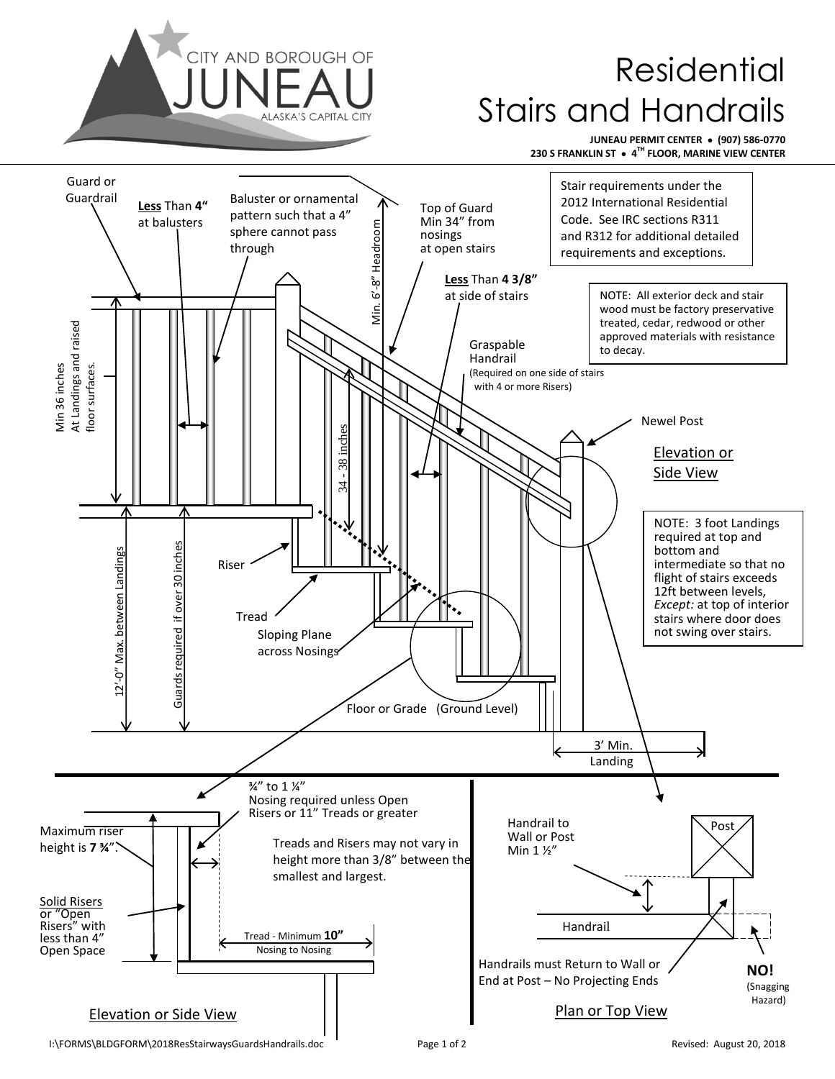

## Residential Stairs and Handrails

**JUNEAU PERMIT CENTER ● (907) 586-0770 230 S FRANKLIN ST ● 4 TH FLOOR, MARINE VIEW CENTER**